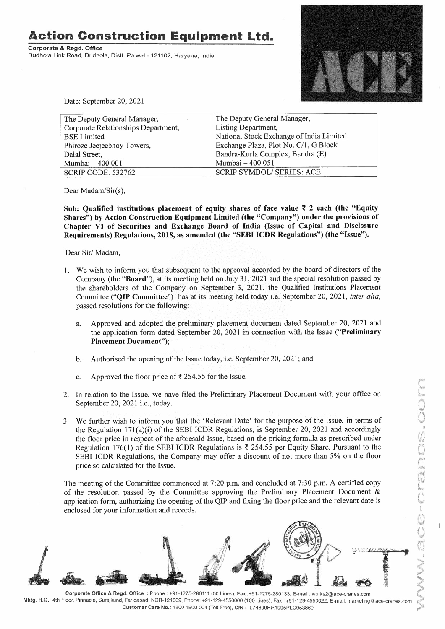**Action Construction Equipment Ltd.** 

**Corporate** & **Regd. Office**  Dudhola Link Road, Dudhola, Distt. Palwal - 121102, Haryana, India



Date: September 20, 2021

| The Deputy General Manager,         | The Deputy General Manager,              |
|-------------------------------------|------------------------------------------|
| Corporate Relationships Department, | Listing Department,                      |
| <b>BSE Limited</b>                  | National Stock Exchange of India Limited |
| Phiroze Jeejeebhoy Towers,          | Exchange Plaza, Plot No. C/1, G Block    |
| Dalal Street,                       | Bandra-Kurla Complex, Bandra (E)         |
| Mumbai - 400 001                    | Mumbai - 400 051                         |
| SCRIP CODE: 532762                  | <b>SCRIP SYMBOL/ SERIES: ACE</b>         |

Dear Madam/Sir(s),

Sub: Qualified institutions placement of equity shares of face value ₹ 2 each (the "Equity **Shares") by Action Construction Equipment Limited (the "Company") under the provisions of Chapter VI of Securities and Exchange Board of India (Issue of Capital and Disclosure Requirements) Regulations, 2018, as amended (the "SEBI ICDR Regulations") (the "Issue").** 

Dear Sir/ Madam,

- 1. We wish to inform you that subsequent to the approval accorded by the board of directors of the Company (the **"Board"),** at its meeting held on July 31, 2021 and the special resolution passed by the shareholders of the Company on September 3, 2021, the Qualified Institutions Placement Committee **("QIP Committee")** has at its meeting held today i.e. September 20, 2021, *inter alia,*  passed resolutions for the following:
	- a. Approved and adopted the preliminary placement document dated September 20, 2021 and the application form dated September 20, 2021 in connection with the Issue **("Preliminary Placement Document");**
	- b. Authorised the opening of the Issue today, i.e. September 20, 2021; and
	- c. Approved the floor price of  $\overline{\xi}$  254.55 for the Issue.
- 2. In relation to the Issue, we have filed the Preliminary Placement Document with your office on September 20, 2021 i.e., today.
- 3. We further wish to inform you that the 'Relevant Date' for the purpose of the Issue, in terms of the Regulation 17l(a)(i) of the SEBI ICDR Regulations, is September 20, 2021 and accordingly the floor price in respect of the aforesaid Issue, based on the pricing formula as prescribed under Regulation 176(1) of the SEBI ICDR Regulations is  $\bar{\tau}$  254.55 per Equity Share. Pursuant to the SEBI ICDR Regulations, the Company may offer a discount of not more than 5% on the floor price so calculated for the Issue.

The meeting of the Committee commenced at 7:20 p.m. and concluded at 7:30 p.m. A certified copy of the resolution passed by the Committee approving the Preliminary Placement Document & application form, authorizing the opening of the QIP and fixing the floor price and the relevant date is enclosed for your information and records.



Corporate Office & Regd. Office : Phone: +91-1275-280111 (50 Lines), Fax :+91-1275-280133, E-mail: works2@ace-cranes.com Mktg. H.Q.: 4th Floor, Pinnacle, Surajkund, Faridabad, NCR-121009, Phone: +91-129-4550000 (100 Lines), Fax: +91-129-4550022, E-mail: marketing@ace-cranes.com Customer Care No.: 1800 1800 004 (Toll Free), CIN: L74899HR1995PLC053860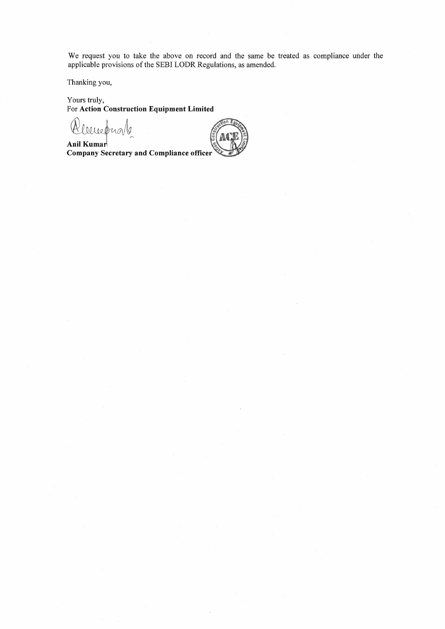We request you to take the above on record and the same be treated as compliance under the applicable provisions of the SEBI LODR Regulations, as amended.

Thanking you,

Yours truly, For **Action Construction Equipment Limited** 

*~QiUQ~G\,~"* 

Anil Kumar<br>Company Secretary and Compliance officer

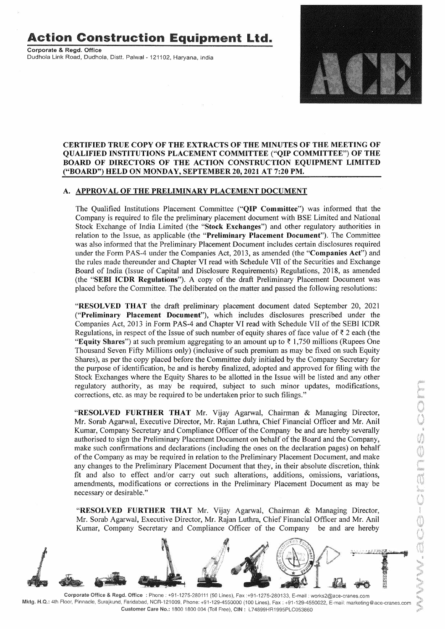# **Action Construction Equipment Ltd.**

**Corporate** & **Regd. Office**  Dudhola Link Road, Dudhola, Distt, Palwal - 121102, Haryana, India



### **CERTIFIED TRUE COPY OF THE EXTRACTS OF THE MINUTES OF THE MEETING OF QUALIFIED INSTITUTIONS PLACEMENT COMMITTEE ("QIP COMMITTEE") OF THE BOARD OF DIRECTORS OF THE ACTION CONSTRUCTION EQUIPMENT LIMITED ("BOARD") HELD ON MONDAY, SEPTEMBER 20, 2021 AT 7:20 PM.**

#### **A. APPROVAL OF THE PRELIMINARY PLACEMENT DOCUMENT**

The Qualified Institutions Placement Committee **("QIP Committee")** was informed that the Company is required to file the preliminary placement document with BSE Limited and National Stock Exchange of India Limited (the **"Stock Exchanges")** and other regulatory authorities in relation to the Issue, as applicable (the **"Preliminary Placement Document").** The Committee was also informed that the Preliminary Placement Document includes certain disclosures required under the Form PAS-4 under the Companies Act, 2013, as amended (the **"Companies Act")** and the rules made thereunder and Chapter VI read with Schedule VII of the Securities and Exchange Board of India (Issue of Capital and Disclosure Requirements) Regulations, 2018, as amended (the **"SEBI ICDR Regulations").** A copy of the draft Preliminary Placement Document was placed before the Committee. The deliberated on the matter and passed the following resolutions:

**"RESOLVED THAT** the draft preliminary placement document dated September 20, 2021 **("Preliminary Placement Document"),** which includes disclosures prescribed under the Companies Act, 2013 in Form PAS-4 and Chapter VI read with Schedule VII of the SEBI ICDR Regulations, in respect of the Issue of such number of equity shares of face value of  $\bar{\tau}$  2 each (the **"Equity Shares")** at such premium aggregating to an amount up to  $\bar{\tau}$  1,750 millions (Rupees One Thousand Seven Fifty Millions only) (inclusive of such premium as may be fixed on such Equity Shares), as per the copy placed before the Committee duly initialed by the Company Secretary for the purpose of identification, be and is hereby finalized, adopted and approved for filing with the Stock Exchanges where the Equity Shares to be allotted in the Issue will be listed and any other regulatory authority, as may be required, subject to such minor updates, modifications, corrections, etc. as may be required to be undertaken prior to such filings."

**"RESOLVED FURTHER THAT** Mr. Vijay Agarwal, Chairman & Managing Director, Mr. Sorab Agarwal, Executive Director, Mr. Rajan Luthra, Chief Financial Officer and Mr. Anil Kumar, Company Secretary and Compliance Officer of the Company be and are hereby severally authorised to sign the Preliminary Placement Document on behalf of the Board and the Company, make such confirmations and declarations (including the ones on the declaration pages) on behalf of the Company as may be required in relation to the Preliminary Placement Document, and make any changes to the Preliminary Placement Document that they, in their absolute discretion, think fit and also to effect and/or carry out such alterations, additions, omissions, variations, amendments, modifications or corrections in the Preliminary Placement Document as may be necessary or desirable."

**"RESOLVED FURTHER THAT** Mr. Vijay Agarwal, Chairman & Managing Director, Mr. Sorab Agarwal, Executive Director, Mr. Rajan Luthra, Chief Financial Officer and Mr. Anil Kumar, Company Secretary and Compliance Officer of the Company be and are hereby



**Corporate Office** & **Regd. Office :** Phone: +91-1275-280111 (50 Lines), Fax :+91-1275-280133, E-mail: works2@ace-cranes.com **Mktg. H.Q.:** 4th Floor, Pinnacle, Surajkund, Faridabad, NCR-121009, Phone: +91-129-4550000 (100 Lines), Fax: +91-129-4550022, E-mail: marketing@ace-cranes.com **Customer Care No.:** 1800 1800 004 (Toll Free), **CIN:** L74899HR1995PLC053860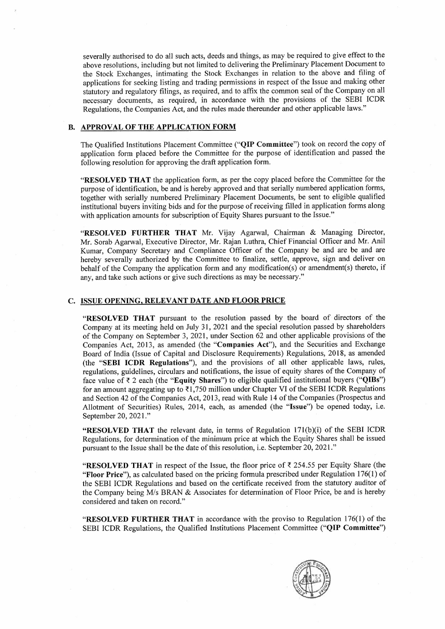severally authorised to do all such acts, deeds and things, as may be required to give effect to the above resolutions, including but not limited to delivering the Preliminary Placement Document to the Stock Exchanges, intimating the Stock Exchanges in relation to the above and filing of applications for seeking listing and trading permissions in respect of the Issue and making other statutory and regulatory filings, as required, and to affix the common seal of the Company on all necessary documents, as required, in accordance with the provisions of the SEBI ICDR Regulations, the Companies Act, and the rules made thereunder and other applicable laws."

#### **B. APPROVAL OF THE APPLICATION FORM**

The Qualified Institutions Placement Committee **("QIP Committee")** took on record the copy of application form placed before the Committee for the purpose of identification and passed the following resolution for approving the draft application form.

**"RESOLVED THAT** the application form, as per the copy placed before the Committee for the purpose of identification, be and is hereby approved and that serially numbered application forms, together with serially numbered Preliminary Placement Documents, be sent to eligible qualified institutional buyers inviting bids and for the purpose of receiving filled in application forms along with application amounts for subscription of Equity Shares pursuant to the Issue."

**"RESOLVED FURTHER THAT** Mr. Vijay Agarwal, Chairman & Managing Director, Mr. Sorab Agarwal, Executive Director, Mr. Rajan Luthra, Chief Financial Officer and Mr. Anil Kumar, Company Secretary and Compliance Officer of the Company be and are be and are hereby severally authorized by the Committee to finalize, settle, approve, sign and deliver on behalf of the Company the application form and any modification(s) or amendment(s) thereto, if any, and take such actions or give such directions as may be necessary."

## **C. ISSUE OPENING, RELEVANT DATE AND FLOOR PRICE**

**''RESOLVED THAT** pursuant to the resolution passed by the board of directors of the Company at its meeting held on July 31, 2021 and the special resolution passed by shareholders of the Company on September 3, 2021, under Section 62 and other applicable provisions of the Companies Act, 2013, as amended (the **"Companies Act"),** and the Securities and Exchange Board of India (Issue of Capital and Disclosure Requirements) Regulations, 2018, as amended (the **"SEBI ICDR Regulations"),** and the provisions of all other applicable laws, rules, regulations, guidelines, circulars and notifications, the issue of equity shares of the Company of face value of~ 2 each (the **"Equity Shares")** to eligible qualified institutional buyers **("QIBs")**  for an amount aggregating up to  $\overline{\ell}1,750$  million under Chapter VI of the SEBI ICDR Regulations and Section 42 of the Companies Act, 2013, read with Rule 14 of the Companies (Prospectus and Allotment of Securities) Rules, 2014, each, as amended (the **"Issue")** be opened today, i.e. September 20, 2021."

**"RESOLVED THAT** the relevant date, in terms of Regulation 17l(b)(i) of the SEBI ICDR Regulations, for determination of the minimum price at which the Equity Shares shall be issued pursuant to the Issue shall be the date of this resolution, i.e. September 20, 2021."

**"RESOLVED THAT** in respect of the Issue, the floor price of  $\bar{\tau}$  254.55 per Equity Share (the **"Floor Price"),** as calculated based on the pricing formula prescribed under Regulation 176(1) of the SEBI ICDR Regulations and based on the certificate received from the statutory auditor of the Company being *Mis* BRAN & Associates for determination of Floor Price, be and is hereby considered and taken on record."

**"RESOLVED FURTHER THAT** in accordance with the proviso to Regulation 176(1) of the SEBI ICDR Regulations, the Qualified Institutions Placement Committee **("QIP Committee")**